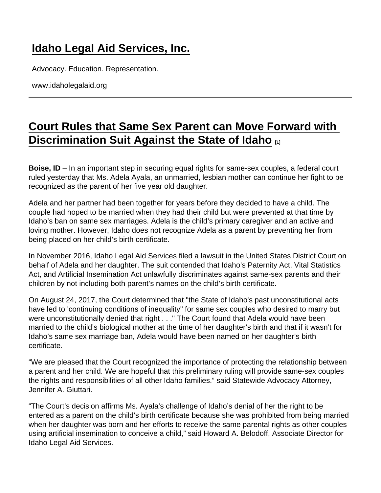## [Idaho Legal Aid Services, Inc.](https://www.idaholegalaid.org/)

Advocacy. Education. Representation.

www.idaholegalaid.org

## [Court Rules that Same Sex Parent can Move Forward with](https://www.idaholegalaid.org/court-rules-same-sex-parent-can-move-forward-discrimination-suit-against-state-idaho)  [Discrimination Suit Against the State of Idaho](https://www.idaholegalaid.org/court-rules-same-sex-parent-can-move-forward-discrimination-suit-against-state-idaho)  $\frac{1}{111}$

Boise, ID – In an important step in securing equal rights for same-sex couples, a federal court ruled yesterday that Ms. Adela Ayala, an unmarried, lesbian mother can continue her fight to be recognized as the parent of her five year old daughter.

Adela and her partner had been together for years before they decided to have a child. The couple had hoped to be married when they had their child but were prevented at that time by Idaho's ban on same sex marriages. Adela is the child's primary caregiver and an active and loving mother. However, Idaho does not recognize Adela as a parent by preventing her from being placed on her child's birth certificate.

In November 2016, Idaho Legal Aid Services filed a lawsuit in the United States District Court on behalf of Adela and her daughter. The suit contended that Idaho's Paternity Act, Vital Statistics Act, and Artificial Insemination Act unlawfully discriminates against same-sex parents and their children by not including both parent's names on the child's birth certificate.

On August 24, 2017, the Court determined that "the State of Idaho's past unconstitutional acts have led to 'continuing conditions of inequality" for same sex couples who desired to marry but were unconstitutionally denied that right . . ." The Court found that Adela would have been married to the child's biological mother at the time of her daughter's birth and that if it wasn't for Idaho's same sex marriage ban, Adela would have been named on her daughter's birth certificate.

"We are pleased that the Court recognized the importance of protecting the relationship between a parent and her child. We are hopeful that this preliminary ruling will provide same-sex couples the rights and responsibilities of all other Idaho families." said Statewide Advocacy Attorney, Jennifer A. Giuttari.

"The Court's decision affirms Ms. Ayala's challenge of Idaho's denial of her the right to be entered as a parent on the child's birth certificate because she was prohibited from being married when her daughter was born and her efforts to receive the same parental rights as other couples using artificial insemination to conceive a child," said Howard A. Belodoff, Associate Director for Idaho Legal Aid Services.